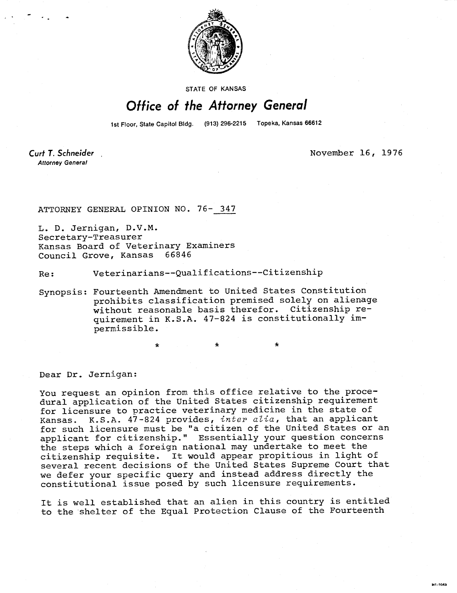

**STATE OF KANSAS** 

## Office of the Attorney General

1st Floor, State Capitol Bldg. (913) 296-2215 Topeka, Kansas 66612

Curt T. Schneider **Attorney General** 

November 16, 1976

ATTORNEY GENERAL OPINION NO. 76- 347

L. D. Jernigan, D.V.M. Secretary-Treasurer Kansas Board of Veterinary Examiners<br>Council Grove, Kansas 66846 Council Grove, Kansas

Re: Veterinarians--Qualifications--Citizenship

\*

Synopsis: Fourteenth Amendment to United States Constitution prohibits classification premised solely on alienage without reasonable basis therefor. Citizenship requirement in K.S.A. 47-824 is constitutionally impermissible.

Dear Dr. Jernigan:

You request an opinion from this office relative to the procedural application of the United States citizenship requirement for licensure to practice veterinary medicine in the state of Kansas. K.S.A. 47-824 provides, inter alia, that an applicant for such licensure must be "a citizen of the United States or an applicant for citizenship." Essentially your question concerns the steps which a foreign national may undertake to meet the citizenship requisite. It would appear propitious in light of several recent decisions of the United States Supreme Court that we defer your specific query and instead address directly the constitutional issue posed by such licensure requirements.

It is well established that an alien in this country is entitled to the shelter of the Equal Protection Clause of the Fourteenth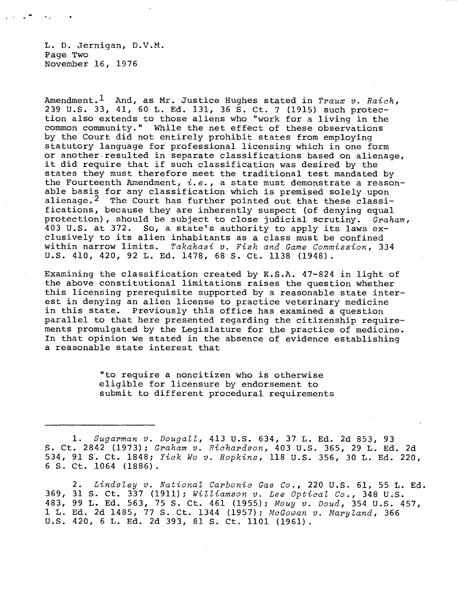L. D. Jernigan, D.V.M. Page Two November 16, 1976

Amendment.<sup>1</sup> And, as Mr. Justice Hughes stated in Traux v. Raich, 239 U.S. 33, 41, 60 L. Ed. 131, 36 S. Ct. 7 (1915) such protection also extends to those aliens who "work for a living in the common community." While the net effect of these observations by the Court did not entirely prohibit states from employing statutory language for professional licensing which in one form or another resulted in separate classifications based on alienage, it did require that if such classification was desired by the states they must therefore meet the traditional test mandated by the Fourteenth Amendment,  $i.e.,$  a state must demonstrate a reasonable basis for any classification which is premised solely upon alienage.<sup>2</sup> The Court has further pointed out that these classifications, because they are inherently suspect (of denying equal protection), should be subject to close judicial scrutiny. Graham, 403 U.S. at 372. So, a state's authority to apply its laws exclusively to its alien inhabitants as a class must be confined within narrow limits. Takahasi v. Fish and Game Commission, 334 U.S. 410, 420, 92 L. Ed. 1478, 68 S. Ct. 1138 (1948).

Examining the classification created by K.S.A. 47-824 in light of the above constitutional limitations raises the question whether this licensing prerequisite supported by a reasonable state interest in denying an alien license to practice veterinary medicine in this state. Previously this office has examined a question parallel to that here presented regarding the citizenship requirements promulgated by the Legislature for the practice of medicine. In that opinion we stated in the absence of evidence establishing a reasonable state interest that

> "to require a noncitizen who is otherwise eligible for licensure by endorsement to submit to different procedural requirements

1. Sugarman v. Dougall, 413 U.S. 634, 37 L. Ed. 2d 853, 93 S. Ct. 2842 (1973); Graham v. Richardson, 403 U.S. 365, 29 L. Ed. 2d 534, 91 S. Ct. 1848; Yick Wo v. Hopkins, 118 U.S. 356, 30 L. Ed. 220, 6 S. Ct. 1064 (1886).

2. Lindsley v. National Carbonic Gas Co., 220 U.S. 61, 55 L. Ed. 369, 31 S. Ct. 337 (1911); Williamson v. Lee Optical Co., 348 U.S. 483, 99 L. Ed. 563, 75 S. Ct. 461 (1955); Mouy v. Doud, 354 U.S. 457, 1 L. Ed. 2d 1485, 77 S. Ct. 1344 (1957); McGowan v. Maryland, 366 U.S. 420, 6 L. Ed. 2d 393, 81 S. Ct. 1101 (1961).